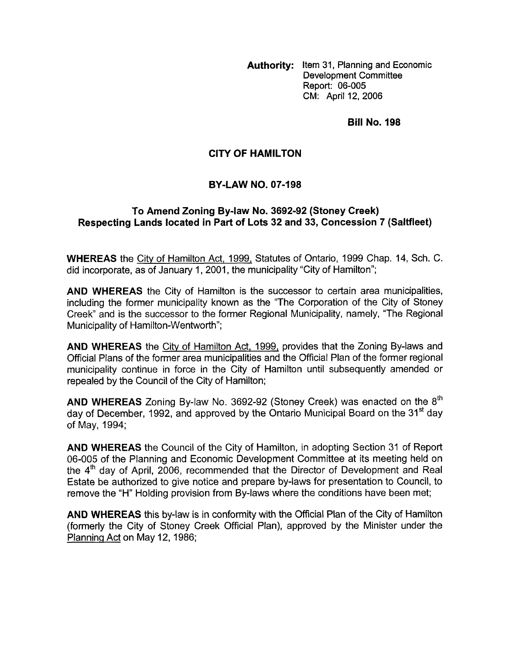**Authority:** Item 31, Planning and Economic Development Committee Report: 06-005 CM: April 12, 2006

**Bill No. 198** 

## **CITY OF HAMILTON**

## **BY-LAW NO. 07-198**

## To Amend Zoning By-law No. 3692-92 (Stoney Creek) **Respecting Lands located in Part of Lots 32 and 33, Concession 7 (Saltfleet)**

**WHEREAS** the City of Hamilton Act, 1999, Statutes of Ontario, 1999 Chap. 14, Sch. C. did incorporate, as of January 1, 2001, the municipality "City of Hamilton";

**AND WHEREAS** the City of Hamilton is the successor to certain area municipalities, including the former municipality known as the "The Corporation of the City of Stoney Creek" and is the successor to the former Regional Municipality, namely, "The Regional Municipality of Hamilton-Wentworth";

**AND WHEREAS** the City *of* Hamilton Act, 1999, provides that the Zoning By-laws and Official Plans of the former area municipalities and the Official Plan of the former regional municipality continue in force in the City of Hamilton until subsequently amended or repealed by the Council *of* the City *of* Hamilton;

**AND WHEREAS** Zoning By-law No. 3692-92 (Stoney Creek) was enacted on the 8'h day of December, 1992, and approved by the Ontario Municipal Board on the 31<sup>st</sup> day of May, 1994;

**AND WHEREAS** the Council of the City of Hamilton, in adopting Section 31 of Report 06-005 of the Planning and Economic Development Committee at its meeting held on the 4'h day of April, 2006, recommended that the Director of Development and Real Estate be authorized to give notice and prepare by-laws for presentation to Council, to remove the "H" Holding provision from By-laws where the conditions have been met;

**AND WHEREAS** this by-law is in conformity with the Official Plan of the City of Hamilton (formerly the City of Stoney Creek Official Plan), approved by the Minister under the Planninq Act on May 12, 1986;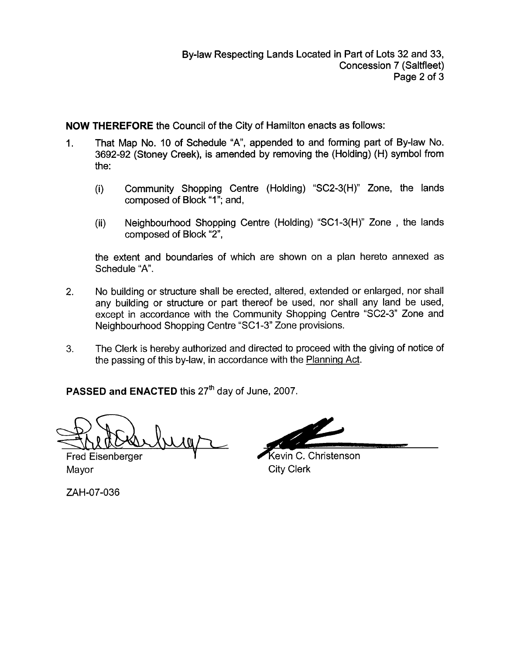**NOW THEREFORE** the Council of the City of Hamilton enacts as follows:

- 1. That Map No. 10 of Schedule "A', appended to and forming part of By-law No. 3692-92 (Stoney Creek), is amended by removing the (Holding) (H) symbol from the:
	- (i) Community Shopping Centre (Holding) "SC2-3(H)" Zone, the lands composed of Block "1"; and,
	- (ii) Neighbourhood Shopping Centre (Holding) "SCl-3(H)" Zone , the lands composed of Block "2",

the extent and boundaries of which are shown on a plan hereto annexed as Schedule "A".

- 2. No building or structure shall be erected, altered, extended or enlarged, nor shall any building or structure or part thereof be used, nor shall any land be used, except in accordance with the Community Shopping Centre "SC2-3" Zone and Neighbourhood Shopping Centre "SCI -3" Zone provisions.
- 3. The Clerk is hereby authorized and directed to proceed with the giving of notice of the passing of this by-law, in accordance with the Planning Act.

PASSED and ENACTED this 27<sup>th</sup> day of June, 2007.

 $\sqrt{0}$ 

**Fred Eisenberger** Mayor **City Clerk** 

ZAH-07-036

Kevin C. Christenson